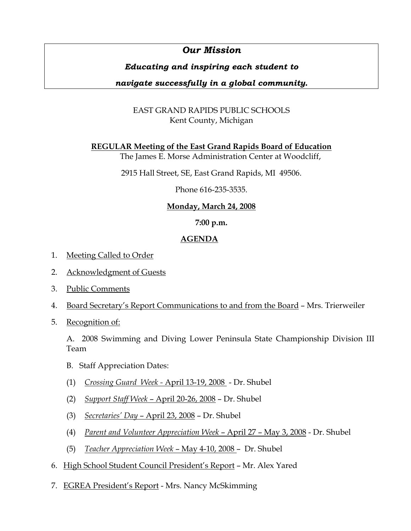# *Our Mission*

# *Educating and inspiring each student to*

# *navigate successfully in a global community.*

# EAST GRAND RAPIDS PUBLIC SCHOOLS Kent County, Michigan

**REGULAR Meeting of the East Grand Rapids Board of Education**

The James E. Morse Administration Center at Woodcliff,

2915 Hall Street, SE, East Grand Rapids, MI 49506.

Phone 616-235-3535.

## **Monday, March 24, 2008**

### **7:00 p.m.**

## **AGENDA**

- 1. Meeting Called to Order
- 2. Acknowledgment of Guests
- 3. Public Comments
- 4. Board Secretary's Report Communications to and from the Board Mrs. Trierweiler
- 5. Recognition of:

 A. 2008 Swimming and Diving Lower Peninsula State Championship Division III Team

- B. Staff Appreciation Dates:
- (1) *Crossing Guard Week -* April 13-19, 2008 Dr. Shubel
- (2) *Support Staff Week*  April 20-26, 2008 Dr. Shubel
- (3) *Secretaries' Day* April 23, 2008 Dr. Shubel
- (4) *Parent and Volunteer Appreciation Week* April 27 May 3, 2008 Dr. Shubel
- (5) *Teacher Appreciation Week* May 4-10, 2008 Dr. Shubel
- 6. High School Student Council President's Report Mr. Alex Yared
- 7. EGREA President's Report Mrs. Nancy McSkimming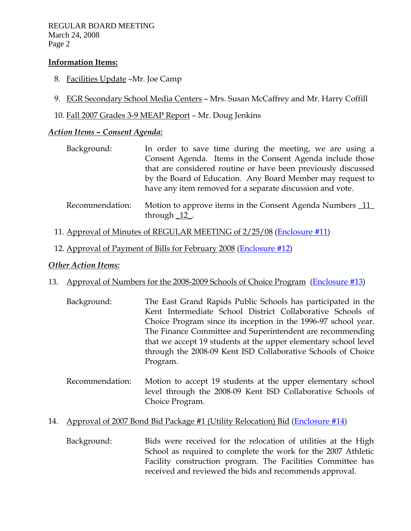REGULAR BOARD MEETING March 24, 2008 Page 2

#### **Information Items:**

- 8. Facilities Update –Mr. Joe Camp
- 9. EGR Secondary School Media Centers Mrs. Susan McCaffrey and Mr. Harry Coffill
- 10. Fall 2007 Grades 3-9 MEAP Report Mr. Doug Jenkins

### *Action Items – Consent Agenda:*

| Background:     | In order to save time during the meeting, we are using a      |
|-----------------|---------------------------------------------------------------|
|                 | Consent Agenda. Items in the Consent Agenda include those     |
|                 | that are considered routine or have been previously discussed |
|                 | by the Board of Education. Any Board Member may request to    |
|                 | have any item removed for a separate discussion and vote.     |
| Recommendation: | Motion to approve items in the Consent Agenda Numbers 11      |

- through \_12\_.
- 11. Approval of Minutes of REGULAR MEETING of 2/25/08 (Enclosure #11)
- 12. Approval of Payment of Bills for February 2008 (Enclosure #12)

#### *Other Action Items:*

#### 13. Approval of Numbers for the 2008-2009 Schools of Choice Program (Enclosure #13)

- Background: The East Grand Rapids Public Schools has participated in the Kent Intermediate School District Collaborative Schools of Choice Program since its inception in the 1996-97 school year. The Finance Committee and Superintendent are recommending that we accept 19 students at the upper elementary school level through the 2008-09 Kent ISD Collaborative Schools of Choice Program.
- Recommendation: Motion to accept 19 students at the upper elementary school level through the 2008-09 Kent ISD Collaborative Schools of Choice Program.

#### 14. Approval of 2007 Bond Bid Package #1 (Utility Relocation) Bid (Enclosure #14)

 Background: Bids were received for the relocation of utilities at the High School as required to complete the work for the 2007 Athletic Facility construction program. The Facilities Committee has received and reviewed the bids and recommends approval.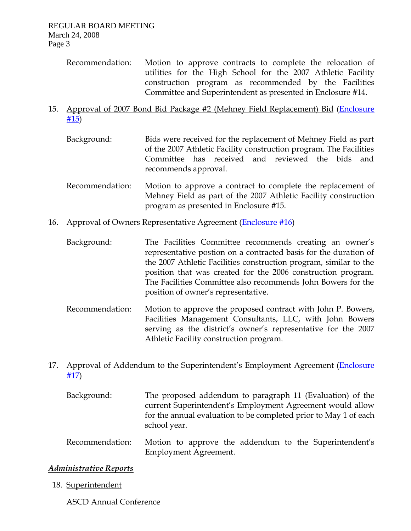Recommendation: Motion to approve contracts to complete the relocation of utilities for the High School for the 2007 Athletic Facility construction program as recommended by the Facilities Committee and Superintendent as presented in Enclosure #14.

## 15. Approval of 2007 Bond Bid Package #2 (Mehney Field Replacement) Bid (Enclosure #15)

- Background: Bids were received for the replacement of Mehney Field as part of the 2007 Athletic Facility construction program. The Facilities Committee has received and reviewed the bids and recommends approval.
- Recommendation: Motion to approve a contract to complete the replacement of Mehney Field as part of the 2007 Athletic Facility construction program as presented in Enclosure #15.
- 16. Approval of Owners Representative Agreement (Enclosure #16)

 Background: The Facilities Committee recommends creating an owner's representative postion on a contracted basis for the duration of the 2007 Athletic Facilities construction program, similar to the position that was created for the 2006 construction program. The Facilities Committee also recommends John Bowers for the position of owner's representative.

 Recommendation: Motion to approve the proposed contract with John P. Bowers, Facilities Management Consultants, LLC, with John Bowers serving as the district's owner's representative for the 2007 Athletic Facility construction program.

## 17. Approval of Addendum to the Superintendent's Employment Agreement (Enclosure #17)

- Background: The proposed addendum to paragraph 11 (Evaluation) of the current Superintendent's Employment Agreement would allow for the annual evaluation to be completed prior to May 1 of each school year.
- Recommendation: Motion to approve the addendum to the Superintendent's Employment Agreement.

# *Administrative Reports*

18. Superintendent

ASCD Annual Conference